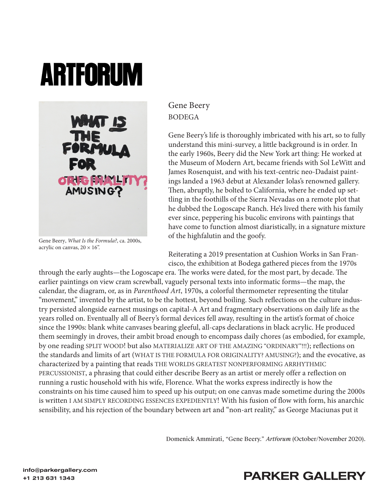## **ARTFORUM**



Gene Beery, *What Is the Formula?*, ca. 2000s, acrylic on canvas,  $20 \times 16$ ".

Gene Beery BODEGA

Gene Beery's life is thoroughly imbricated with his art, so to fully understand this mini-survey, a little background is in order. In the early 1960s, Beery did the New York art thing: He worked at the Museum of Modern Art, became friends with Sol LeWitt and James Rosenquist, and with his text-centric neo-Dadaist paintings landed a 1963 debut at Alexander Iolas's renowned gallery. Then, abruptly, he bolted to California, where he ended up settling in the foothills of the Sierra Nevadas on a remote plot that he dubbed the Logoscape Ranch. He's lived there with his family ever since, peppering his bucolic environs with paintings that have come to function almost diaristically, in a signature mixture of the highfalutin and the goofy.

Reiterating a 2019 presentation at Cushion Works in San Francisco, the exhibition at Bodega gathered pieces from the 1970s

through the early aughts—the Logoscape era. The works were dated, for the most part, by decade. The earlier paintings on view cram screwball, vaguely personal texts into informatic forms—the map, the calendar, the diagram, or, as in *Parenthood Art*, 1970s, a colorful thermometer representing the titular "movement," invented by the artist, to be the hottest, beyond boiling. Such reflections on the culture industry persisted alongside earnest musings on capital-A Art and fragmentary observations on daily life as the years rolled on. Eventually all of Beery's formal devices fell away, resulting in the artist's format of choice since the 1990s: blank white canvases bearing gleeful, all-caps declarations in black acrylic. He produced them seemingly in droves, their ambit broad enough to encompass daily chores (as embodied, for example, by one reading SPLIT WOOD! but also MATERIALIZE ART OF THE AMAZING "ORDINARY"!!!); reflections on the standards and limits of art (WHAT IS THE FORMULA FOR ORIGINALITY? AMUSING?); and the evocative, as characterized by a painting that reads THE WORLDS GREATEST NONPERFORMING ARRHYTHMIC PERCUSSIONIST, a phrasing that could either describe Beery as an artist or merely offer a reflection on running a rustic household with his wife, Florence. What the works express indirectly is how the constraints on his time caused him to speed up his output; on one canvas made sometime during the 2000s is written I AM SIMPLY RECORDING ESSENCES EXPEDIENTLY! With his fusion of flow with form, his anarchic sensibility, and his rejection of the boundary between art and "non-art reality," as George Maciunas put it

Domenick Ammirati, "Gene Beery." *Artforum* (October/November 2020).

## +1 213 631 1343<br>+1 213 631 1343